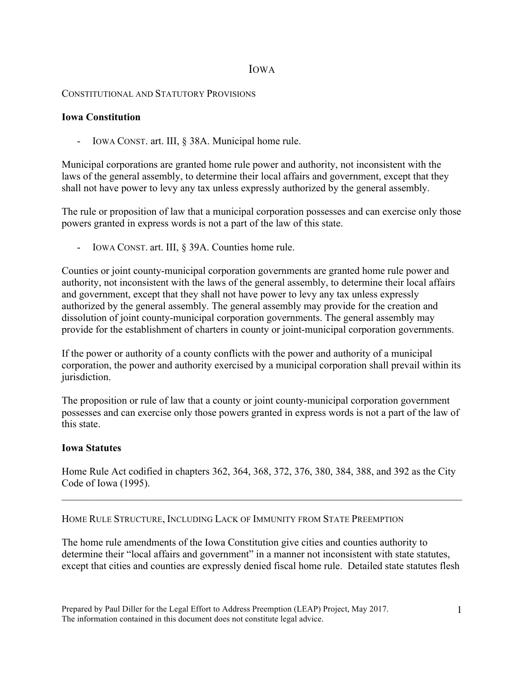# IOWA

### CONSTITUTIONAL AND STATUTORY PROVISIONS

#### **Iowa Constitution**

- IOWA CONST. art. III, § 38A. Municipal home rule.

Municipal corporations are granted home rule power and authority, not inconsistent with the laws of the general assembly, to determine their local affairs and government, except that they shall not have power to levy any tax unless expressly authorized by the general assembly.

The rule or proposition of law that a municipal corporation possesses and can exercise only those powers granted in express words is not a part of the law of this state.

- IOWA CONST. art. III, § 39A. Counties home rule.

Counties or joint county-municipal corporation governments are granted home rule power and authority, not inconsistent with the laws of the general assembly, to determine their local affairs and government, except that they shall not have power to levy any tax unless expressly authorized by the general assembly. The general assembly may provide for the creation and dissolution of joint county-municipal corporation governments. The general assembly may provide for the establishment of charters in county or joint-municipal corporation governments.

If the power or authority of a county conflicts with the power and authority of a municipal corporation, the power and authority exercised by a municipal corporation shall prevail within its jurisdiction.

The proposition or rule of law that a county or joint county-municipal corporation government possesses and can exercise only those powers granted in express words is not a part of the law of this state.

## **Iowa Statutes**

Home Rule Act codified in chapters 362, 364, 368, 372, 376, 380, 384, 388, and 392 as the City Code of Iowa (1995).

 $\mathcal{L}_\mathcal{L} = \{ \mathcal{L}_\mathcal{L} = \{ \mathcal{L}_\mathcal{L} = \{ \mathcal{L}_\mathcal{L} = \{ \mathcal{L}_\mathcal{L} = \{ \mathcal{L}_\mathcal{L} = \{ \mathcal{L}_\mathcal{L} = \{ \mathcal{L}_\mathcal{L} = \{ \mathcal{L}_\mathcal{L} = \{ \mathcal{L}_\mathcal{L} = \{ \mathcal{L}_\mathcal{L} = \{ \mathcal{L}_\mathcal{L} = \{ \mathcal{L}_\mathcal{L} = \{ \mathcal{L}_\mathcal{L} = \{ \mathcal{L}_\mathcal{$ 

## HOME RULE STRUCTURE, INCLUDING LACK OF IMMUNITY FROM STATE PREEMPTION

The home rule amendments of the Iowa Constitution give cities and counties authority to determine their "local affairs and government" in a manner not inconsistent with state statutes, except that cities and counties are expressly denied fiscal home rule. Detailed state statutes flesh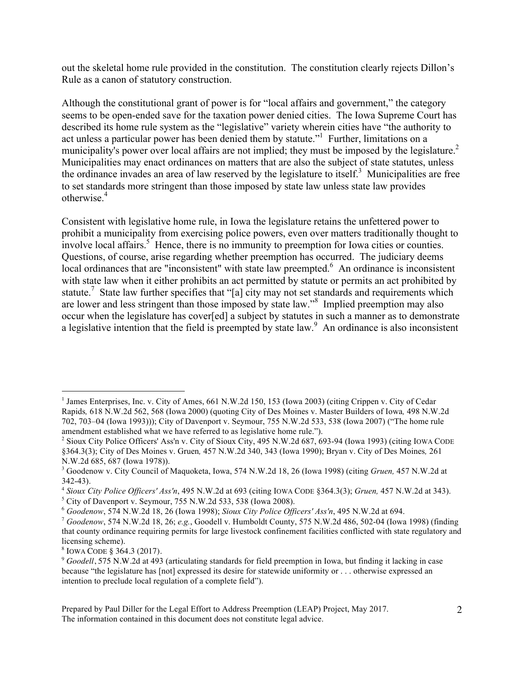out the skeletal home rule provided in the constitution. The constitution clearly rejects Dillon's Rule as a canon of statutory construction.

Although the constitutional grant of power is for "local affairs and government," the category seems to be open-ended save for the taxation power denied cities. The Iowa Supreme Court has described its home rule system as the "legislative" variety wherein cities have "the authority to act unless a particular power has been denied them by statute."<sup>1</sup> Further, limitations on a municipality's power over local affairs are not implied; they must be imposed by the legislature.<sup>2</sup> Municipalities may enact ordinances on matters that are also the subject of state statutes, unless the ordinance invades an area of law reserved by the legislature to itself.<sup>3</sup> Municipalities are free to set standards more stringent than those imposed by state law unless state law provides otherwise<sup>4</sup>

Consistent with legislative home rule, in Iowa the legislature retains the unfettered power to prohibit a municipality from exercising police powers, even over matters traditionally thought to involve local affairs.<sup>5</sup> Hence, there is no immunity to preemption for Iowa cities or counties. Questions, of course, arise regarding whether preemption has occurred. The judiciary deems local ordinances that are "inconsistent" with state law preempted.<sup>6</sup> An ordinance is inconsistent with state law when it either prohibits an act permitted by statute or permits an act prohibited by statute.<sup>7</sup> State law further specifies that "[a] city may not set standards and requirements which are lower and less stringent than those imposed by state law."<sup>8</sup> Implied preemption may also occur when the legislature has cover[ed] a subject by statutes in such a manner as to demonstrate a legislative intention that the field is preempted by state law.<sup>9</sup> An ordinance is also inconsistent

<sup>&</sup>lt;sup>1</sup> James Enterprises, Inc. v. City of Ames, 661 N.W.2d 150, 153 (Iowa 2003) (citing Crippen v. City of Cedar Rapids*,* 618 N.W.2d 562, 568 (Iowa 2000) (quoting City of Des Moines v. Master Builders of Iowa*,* 498 N.W.2d 702, 703–04 (Iowa 1993))); City of Davenport v. Seymour, 755 N.W.2d 533, 538 (Iowa 2007) ("The home rule amendment established what we have referred to as legislative home rule.").

<sup>2</sup> Sioux City Police Officers' Ass'n v. City of Sioux City, 495 N.W.2d 687, 693-94 (Iowa 1993) (citing IOWA CODE §364.3(3); City of Des Moines v. Gruen*,* 457 N.W.2d 340, 343 (Iowa 1990); Bryan v. City of Des Moines*,* 261 N.W.2d 685, 687 (Iowa 1978)).

<sup>3</sup> Goodenow v. City Council of Maquoketa, Iowa, 574 N.W.2d 18, 26 (Iowa 1998) (citing *Gruen,* 457 N.W.2d at 342-43).

<sup>4</sup> *Sioux City Police Officers' Ass'n*, 495 N.W.2d at 693 (citing IOWA CODE §364.3(3); *Gruen,* 457 N.W.2d at 343).

 $5$  City of Davenport v. Seymour, 755 N.W.2d 533, 538 (Iowa 2008).

<sup>6</sup> *Goodenow*, 574 N.W.2d 18, 26 (Iowa 1998); *Sioux City Police Officers' Ass'n*, 495 N.W.2d at 694.

<sup>7</sup> *Goodenow*, 574 N.W.2d 18, 26; *e.g.*, Goodell v. Humboldt County, 575 N.W.2d 486, 502-04 (Iowa 1998) (finding that county ordinance requiring permits for large livestock confinement facilities conflicted with state regulatory and licensing scheme).

<sup>8</sup> IOWA CODE § 364.3 (2017).

<sup>9</sup> *Goodell*, 575 N.W.2d at 493 (articulating standards for field preemption in Iowa, but finding it lacking in case because "the legislature has [not] expressed its desire for statewide uniformity or . . . otherwise expressed an intention to preclude local regulation of a complete field").